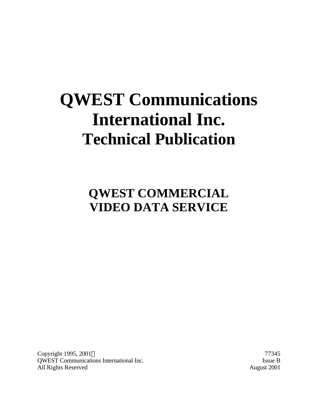# **QWEST Communications International Inc. Technical Publication**

**QWEST COMMERCIAL VIDEO DATA SERVICE**

Copyright 1995, 2001 © 77345 QWEST Communications International Inc. Issue B All Rights Reserved August 2001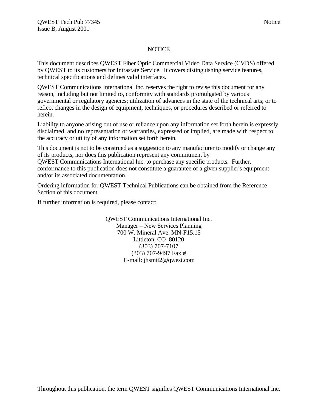#### **NOTICE**

This document describes QWEST Fiber Optic Commercial Video Data Service (CVDS) offered by QWEST to its customers for Intrastate Service. It covers distinguishing service features, technical specifications and defines valid interfaces.

QWEST Communications International Inc. reserves the right to revise this document for any reason, including but not limited to, conformity with standards promulgated by various governmental or regulatory agencies; utilization of advances in the state of the technical arts; or to reflect changes in the design of equipment, techniques, or procedures described or referred to herein.

Liability to anyone arising out of use or reliance upon any information set forth herein is expressly disclaimed, and no representation or warranties, expressed or implied, are made with respect to the accuracy or utility of any information set forth herein.

This document is not to be construed as a suggestion to any manufacturer to modify or change any of its products, nor does this publication represent any commitment by QWEST Communications International Inc. to purchase any specific products. Further, conformance to this publication does not constitute a guarantee of a given supplier's equipment and/or its associated documentation.

Ordering information for QWEST Technical Publications can be obtained from the Reference Section of this document.

If further information is required, please contact:

QWEST Communications International Inc. Manager – New Services Planning 700 W. Mineral Ave. MN-F15.15 Littleton, CO 80120 (303) 707-7107 (303) 707-9497 Fax # E-mail: jhsmit2@qwest.com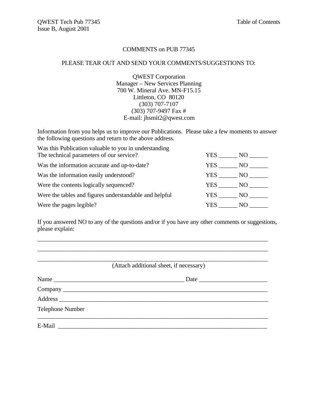### COMMENTS on PUB 77345

#### PLEASE TEAR OUT AND SEND YOUR COMMENTS/SUGGESTIONS TO:

QWEST Corporation Manager – New Services Planning 700 W. Mineral Ave. MN-F15.15 Littleton, CO 80120 (303) 707-7107 (303) 707-9497 Fax # E-mail: jhsmit2@qwest.com

Information from you helps us to improve our Publications. Please take a few moments to answer the following questions and return to the above address.

| Was this Publication valuable to you in understanding  |        |      |
|--------------------------------------------------------|--------|------|
| The technical parameters of our service?               | YES.   | NO.  |
| Was the information accurate and up-to-date?           | YES .  | NO.  |
| Was the information easily understood?                 | YES    | NO.  |
| Were the contents logically sequenced?                 | YES    | NO - |
| Were the tables and figures understandable and helpful | YES NO |      |
| Were the pages legible?                                | YES.   | NO.  |

If you answered NO to any of the questions and/or if you have any other comments or suggestions, please explain:

\_\_\_\_\_\_\_\_\_\_\_\_\_\_\_\_\_\_\_\_\_\_\_\_\_\_\_\_\_\_\_\_\_\_\_\_\_\_\_\_\_\_\_\_\_\_\_\_\_\_\_\_\_\_\_\_\_\_\_\_\_\_\_\_\_\_\_\_\_\_\_\_\_\_

|                  | (Attach additional sheet, if necessary) |
|------------------|-----------------------------------------|
| Name             |                                         |
|                  |                                         |
|                  |                                         |
| Telephone Number |                                         |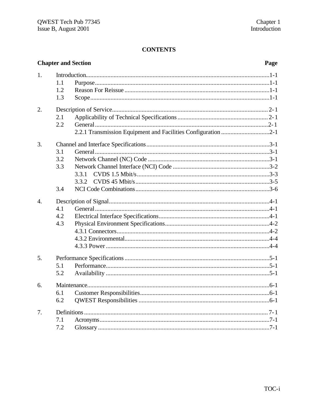|                  |                   | <b>Chapter and Section</b>                                    | Page |
|------------------|-------------------|---------------------------------------------------------------|------|
| 1.               | 1.1<br>1.2        |                                                               |      |
|                  | 1.3               |                                                               |      |
| 2.               | 2.1<br>2.2        | 2.2.1 Transmission Equipment and Facilities Configuration 2-1 |      |
| 3.               | 3.1<br>3.2<br>3.3 | 3.3.1<br>3.3.2                                                |      |
|                  | 3.4               |                                                               |      |
| $\overline{4}$ . | 4.1<br>4.2<br>4.3 |                                                               |      |
| 5.               | 5.1<br>5.2        |                                                               |      |
| 6.               | 6.1<br>6.2        |                                                               |      |
| 7.               | 7.1<br>7.2        |                                                               |      |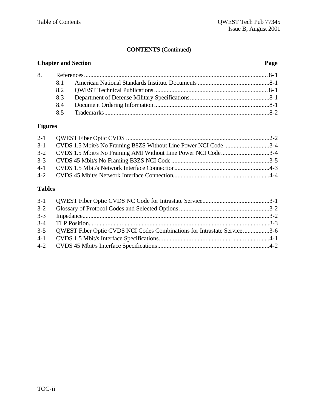## **CONTENTS** (Continued)

### **Chapter and Section Page**

| 8. |     |  |
|----|-----|--|
|    | 81  |  |
|    |     |  |
|    | 8.3 |  |
|    |     |  |
|    |     |  |

### **Figures**

| 3-1 CVDS 1.5 Mbit/s No Framing B8ZS Without Line Power NCI Code 3-4 |  |
|---------------------------------------------------------------------|--|
| 3-2 CVDS 1.5 Mbit/s No Framing AMI Without Line Power NCI Code3-4   |  |
|                                                                     |  |
|                                                                     |  |
|                                                                     |  |
|                                                                     |  |

### **Tables**

| $3 - 2$ |                                                                              |  |
|---------|------------------------------------------------------------------------------|--|
|         |                                                                              |  |
|         |                                                                              |  |
|         | 3-5 OWEST Fiber Optic CVDS NCI Codes Combinations for Intrastate Service 3-6 |  |
|         |                                                                              |  |
|         |                                                                              |  |
|         |                                                                              |  |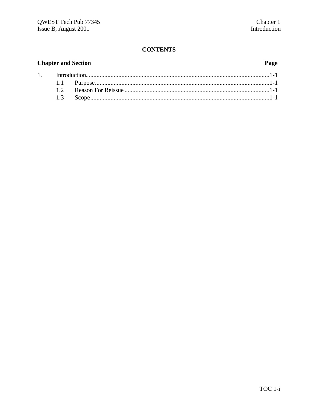### **Chapter and Section**

 $1.$ 

### Page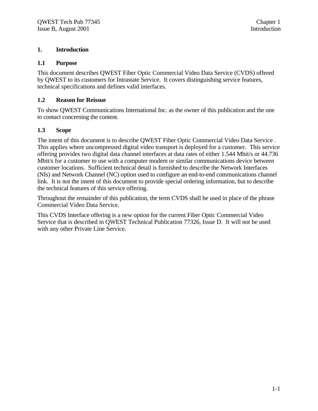### **1. Introduction**

#### **1.1 Purpose**

This document describes QWEST Fiber Optic Commercial Video Data Service (CVDS) offered by QWEST to its customers for Intrastate Service. It covers distinguishing service features, technical specifications and defines valid interfaces.

### **1.2 Reason for Reissue**

To show QWEST Communications International Inc. as the owner of this publication and the one to contact concerning the content.

#### **1.3 Scope**

The intent of this document is to describe QWEST Fiber Optic Commercial Video Data Service . This applies where uncompressed digital video transport is deployed for a customer. This service offering provides two digital data channel interfaces at data rates of either 1.544 Mbit/s or 44.736 Mbit/s for a customer to use with a computer modem or similar communications device between customer locations. Sufficient technical detail is furnished to describe the Network Interfaces (NIs) and Network Channel (NC) option used to configure an end-to-end communications channel link. It is not the intent of this document to provide special ordering information, but to describe the technical features of this service offering.

Throughout the remainder of this publication, the term CVDS shall be used in place of the phrase Commercial Video Data Service.

This CVDS Interface offering is a new option for the current Fiber Optic Commercial Video Service that is described in QWEST Technical Publication 77326, Issue D. It will not be used with any other Private Line Service.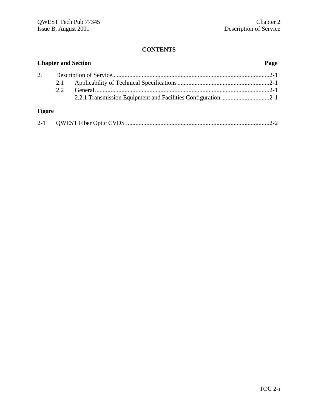| <b>Chapter and Section</b> |      |  |  |
|----------------------------|------|--|--|
| 2.                         |      |  |  |
|                            | 2.1  |  |  |
|                            | 2.2. |  |  |
|                            |      |  |  |
| <b>Figure</b>              |      |  |  |
|                            |      |  |  |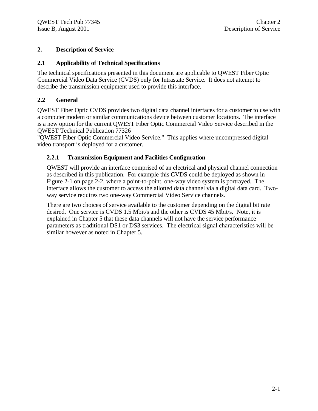### **2. Description of Service**

### **2.1 Applicability of Technical Specifications**

The technical specifications presented in this document are applicable to QWEST Fiber Optic Commercial Video Data Service (CVDS) only for Intrastate Service. It does not attempt to describe the transmission equipment used to provide this interface.

### **2.2 General**

QWEST Fiber Optic CVDS provides two digital data channel interfaces for a customer to use with a computer modem or similar communications device between customer locations. The interface is a new option for the current QWEST Fiber Optic Commercial Video Service described in the QWEST Technical Publication 77326

"QWEST Fiber Optic Commercial Video Service." This applies where uncompressed digital video transport is deployed for a customer.

### **2.2.1 Transmission Equipment and Facilities Configuration**

QWEST will provide an interface comprised of an electrical and physical channel connection as described in this publication. For example this CVDS could be deployed as shown in Figure 2-1 on page 2-2, where a point-to-point, one-way video system is portrayed. The interface allows the customer to access the allotted data channel via a digital data card. Twoway service requires two one-way Commercial Video Service channels.

There are two choices of service available to the customer depending on the digital bit rate desired. One service is CVDS 1.5 Mbit/s and the other is CVDS 45 Mbit/s. Note, it is explained in Chapter 5 that these data channels will not have the service performance parameters as traditional DS1 or DS3 services. The electrical signal characteristics will be similar however as noted in Chapter 5.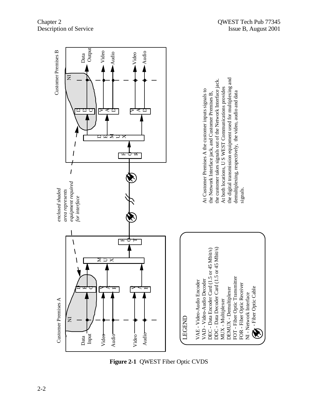

**Figure 2-1** QWEST Fiber Optic CVDS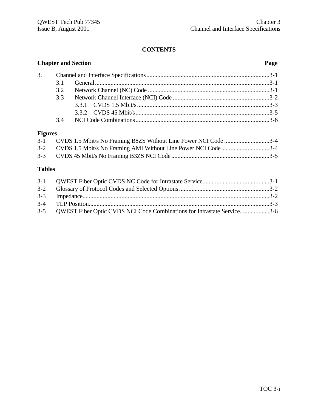|                | <b>Chapter and Section</b> |                                                                      |                    |
|----------------|----------------------------|----------------------------------------------------------------------|--------------------|
| 3.             |                            |                                                                      |                    |
|                | 3.1                        |                                                                      |                    |
|                | 3.2                        |                                                                      |                    |
|                | 3.3                        |                                                                      |                    |
|                |                            |                                                                      |                    |
|                |                            |                                                                      |                    |
|                |                            |                                                                      |                    |
| <b>Figures</b> |                            |                                                                      |                    |
|                |                            | 2.1 CUDC $1.5$ Methe Ne Francisco DOZC Without Line Deriver MCI Code | $\Omega$ $\Lambda$ |

| 3-1 CVDS 1.5 Mbit/s No Framing B8ZS Without Line Power NCI Code 3-4 |  |
|---------------------------------------------------------------------|--|
| 3-2 CVDS 1.5 Mbit/s No Framing AMI Without Line Power NCI Code3-4   |  |
|                                                                     |  |

### **Tables**

| 3-5 OWEST Fiber Optic CVDS NCI Code Combinations for Intrastate Service3-6 |  |
|----------------------------------------------------------------------------|--|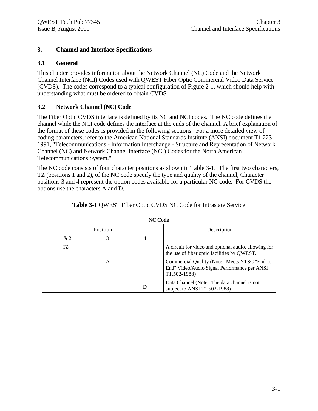### **3. Channel and Interface Specifications**

### **3.1 General**

This chapter provides information about the Network Channel (NC) Code and the Network Channel Interface (NCI) Codes used with QWEST Fiber Optic Commercial Video Data Service (CVDS). The codes correspond to a typical configuration of Figure 2-1, which should help with understanding what must be ordered to obtain CVDS.

### **3.2 Network Channel (NC) Code**

The Fiber Optic CVDS interface is defined by its NC and NCI codes. The NC code defines the channel while the NCI code defines the interface at the ends of the channel. A brief explanation of the format of these codes is provided in the following sections. For a more detailed view of coding parameters, refer to the American National Standards Institute (ANSI) document T1.223- 1991, "Telecommunications - Information Interchange - Structure and Representation of Network Channel (NC) and Network Channel Interface (NCI) Codes for the North American Telecommunications System."

The NC code consists of four character positions as shown in Table 3-1. The first two characters, TZ (positions 1 and 2), of the NC code specify the type and quality of the channel, Character positions 3 and 4 represent the option codes available for a particular NC code. For CVDS the options use the characters A and D.

| <b>NC Code</b> |   |   |                                                                                                                                                                                                      |  |  |
|----------------|---|---|------------------------------------------------------------------------------------------------------------------------------------------------------------------------------------------------------|--|--|
| Position       |   |   | Description                                                                                                                                                                                          |  |  |
| 1 & 2          | 3 | 4 |                                                                                                                                                                                                      |  |  |
| TZ.            | A |   | A circuit for video and optional audio, allowing for<br>the use of fiber optic facilities by QWEST.<br>Commercial Quality (Note: Meets NTSC "End-to-<br>End" Video/Audio Signal Performance per ANSI |  |  |
|                |   |   | T1.502-1988)                                                                                                                                                                                         |  |  |
|                |   | D | Data Channel (Note: The data channel is not<br>subject to ANSI T1.502-1988)                                                                                                                          |  |  |

| Table 3-1 QWEST Fiber Optic CVDS NC Code for Intrastate Service |  |  |  |  |  |
|-----------------------------------------------------------------|--|--|--|--|--|
|                                                                 |  |  |  |  |  |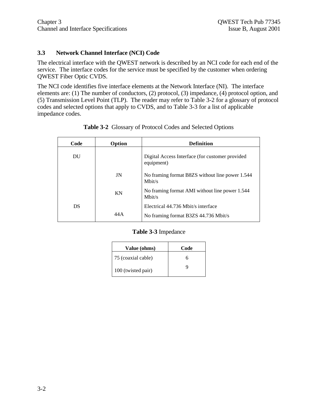### **3.3 Network Channel Interface (NCI) Code**

The electrical interface with the QWEST network is described by an NCI code for each end of the service. The interface codes for the service must be specified by the customer when ordering QWEST Fiber Optic CVDS.

The NCI code identifies five interface elements at the Network Interface (NI). The interface elements are: (1) The number of conductors, (2) protocol, (3) impedance, (4) protocol option, and (5) Transmission Level Point (TLP). The reader may refer to Table 3-2 for a glossary of protocol codes and selected options that apply to CVDS, and to Table 3-3 for a list of applicable impedance codes.

| Code | Option | <b>Definition</b>                                             |
|------|--------|---------------------------------------------------------------|
| DU   |        | Digital Access Interface (for customer provided<br>equipment) |
|      | JN     | No framing format B8ZS without line power 1.544<br>Mbit/s     |
|      | KN     | No framing format AMI without line power 1.544<br>Mbit/s      |
| DS   |        | Electrical 44.736 Mbit/s interface                            |
|      | 44 A   | No framing format B3ZS 44.736 Mbit/s                          |

**Table 3-2** Glossary of Protocol Codes and Selected Options

### **Table 3-3** Impedance

| Value (ohms)       | Code |
|--------------------|------|
| 75 (coaxial cable) | h    |
| 100 (twisted pair) | g    |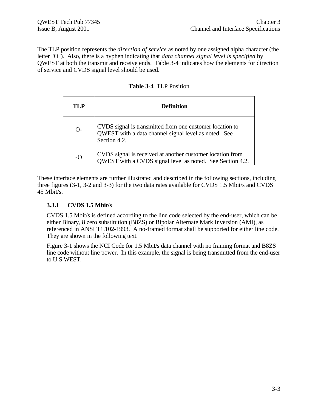The TLP position represents the *direction of service* as noted by one assigned alpha character (the letter "O"). Also, there is a hyphen indicating that *data channel signal level is specified* by QWEST at both the transmit and receive ends. Table 3-4 indicates how the elements for direction of service and CVDS signal level should be used.

| TLP   | <b>Definition</b>                                                                                                                |
|-------|----------------------------------------------------------------------------------------------------------------------------------|
| $O-$  | CVDS signal is transmitted from one customer location to<br>QWEST with a data channel signal level as noted. See<br>Section 4.2. |
| $-$ O | CVDS signal is received at another customer location from<br>QWEST with a CVDS signal level as noted. See Section 4.2.           |

**Table 3-4** TLP Position

These interface elements are further illustrated and described in the following sections, including three figures (3-1, 3-2 and 3-3) for the two data rates available for CVDS 1.5 Mbit/s and CVDS 45 Mbit/s.

### **3.3.1 CVDS 1.5 Mbit/s**

CVDS 1.5 Mbit/s is defined according to the line code selected by the end-user, which can be either Binary, 8 zero substitution (B8ZS) or Bipolar Alternate Mark Inversion (AMI), as referenced in ANSI T1.102-1993. A no-framed format shall be supported for either line code. They are shown in the following text.

Figure 3-1 shows the NCI Code for 1.5 Mbit/s data channel with no framing format and B8ZS line code without line power. In this example, the signal is being transmitted from the end-user to U S WEST.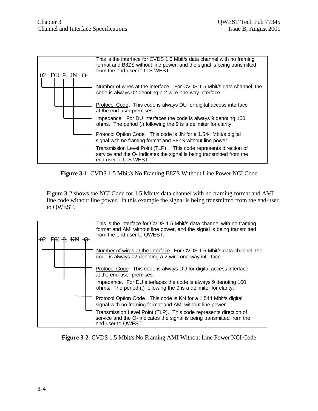

**Figure 3-1** CVDS 1.5 Mbit/s No Framing B8ZS Without Line Power NCI Code

Figure 3-2 shows the NCI Code for 1.5 Mbit/s data channel with no framing format and AMI line code without line power. In this example the signal is being transmitted from the end-user to QWEST.



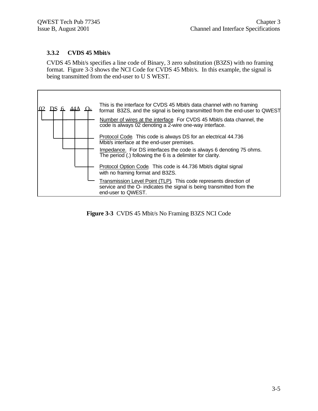### **3.3.2 CVDS 45 Mbit/s**

CVDS 45 Mbit/s specifies a line code of Binary, 3 zero substitution (B3ZS) with no framing format. Figure 3-3 shows the NCI Code for CVDS 45 Mbit/s. In this example, the signal is being transmitted from the end-user to U S WEST.



**Figure 3-3** CVDS 45 Mbit/s No Framing B3ZS NCI Code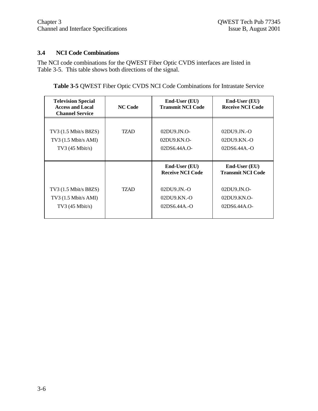### **3.4 NCI Code Combinations**

The NCI code combinations for the QWEST Fiber Optic CVDS interfaces are listed in Table 3-5. This table shows both directions of the signal.

**Table 3-5** QWEST Fiber Optic CVDS NCI Code Combinations for Intrastate Service

| <b>Television Special</b><br><b>Access and Local</b><br><b>Channel Service</b> | <b>NC Code</b> | End-User (EU)<br><b>Transmit NCI Code</b>                                                     | End-User (EU)<br><b>Receive NCI Code</b>                                                       |
|--------------------------------------------------------------------------------|----------------|-----------------------------------------------------------------------------------------------|------------------------------------------------------------------------------------------------|
| $TV3$ (1.5 Mbit/s B8ZS)<br>$TV3$ (1.5 Mbit/s AMI)<br>TV3 $(45 \text{ Mbit/s})$ | <b>TZAD</b>    | $02DU9$ JN.O-<br>02DU9.KN.O-<br>$02DS6.44A.$ O-                                               | $02DU9JN.-O$<br>02DU9.KN.-O<br>$02DS6.44A.-O$                                                  |
| $TV3$ (1.5 Mbit/s B8ZS)<br>$TV3$ (1.5 Mbit/s AMI)<br>$TV3$ (45 Mbit/s)         | TZAD           | End-User (EU)<br><b>Receive NCI Code</b><br>$02DU9$ JN.-O<br>$02DU9.KN. -O$<br>$02DS6.44A.-O$ | End-User (EU)<br><b>Transmit NCI Code</b><br>$02DU9JN.O-$<br>$02DIJ9.KN.O-$<br>$02DS6.44A.$ O- |
|                                                                                |                |                                                                                               |                                                                                                |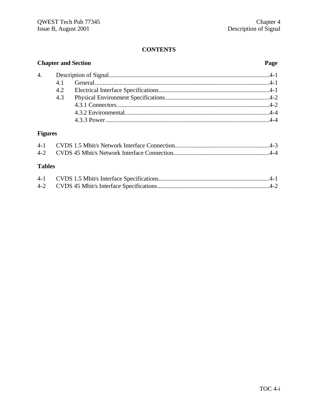| <b>Chapter and Section</b> |     |  |  |
|----------------------------|-----|--|--|
|                            |     |  |  |
|                            | 4.1 |  |  |
|                            | 4.2 |  |  |
|                            | 4.3 |  |  |
|                            |     |  |  |
|                            |     |  |  |
|                            |     |  |  |
|                            |     |  |  |

## **Figures**

### **Tables**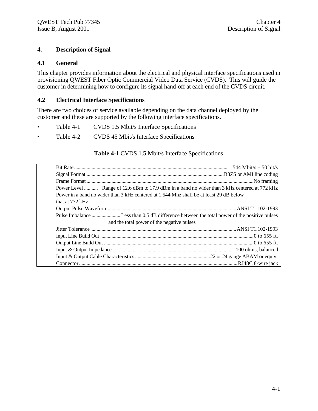### **4. Description of Signal**

#### **4.1 General**

This chapter provides information about the electrical and physical interface specifications used in provisioning QWEST Fiber Optic Commercial Video Data Service (CVDS). This will guide the customer in determining how to configure its signal hand-off at each end of the CVDS circuit.

#### **4.2 Electrical Interface Specifications**

There are two choices of service available depending on the data channel deployed by the customer and these are supported by the following interface specifications.

- Table 4-1 CVDS 1.5 Mbit/s Interface Specifications
- Table 4-2 CVDS 45 Mbit/s Interface Specifications

#### **Table 4-1** CVDS 1.5 Mbit/s Interface Specifications

| Power Level  Range of 12.6 dBm to 17.9 dBm in a band no wider than 3 kHz centered at 772 kHz |  |
|----------------------------------------------------------------------------------------------|--|
| Power in a band no wider than 3 kHz centered at 1.544 Mhz shall be at least 29 dB below      |  |
| that at 772 kHz                                                                              |  |
|                                                                                              |  |
|                                                                                              |  |
| and the total power of the negative pulses                                                   |  |
|                                                                                              |  |
|                                                                                              |  |
|                                                                                              |  |
|                                                                                              |  |
|                                                                                              |  |
|                                                                                              |  |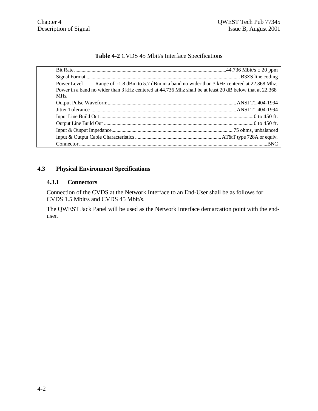| <b>Table 4-2 CVDS 45 Mbit/s Interface Specifications</b> |  |
|----------------------------------------------------------|--|
|----------------------------------------------------------|--|

|            | Power Level Range of -1.8 dBm to 5.7 dBm in a band no wider than 3 kHz centered at 22.368 Mhz;          |  |
|------------|---------------------------------------------------------------------------------------------------------|--|
|            | Power in a band no wider than 3 kHz centered at 44.736 Mhz shall be at least 20 dB below that at 22.368 |  |
| <b>MHz</b> |                                                                                                         |  |
|            |                                                                                                         |  |
|            |                                                                                                         |  |
|            |                                                                                                         |  |
|            |                                                                                                         |  |
|            |                                                                                                         |  |
|            |                                                                                                         |  |
|            |                                                                                                         |  |

### **4.3 Physical Environment Specifications**

### **4.3.1 Connectors**

Connection of the CVDS at the Network Interface to an End-User shall be as follows for CVDS 1.5 Mbit/s and CVDS 45 Mbit/s.

The QWEST Jack Panel will be used as the Network Interface demarcation point with the enduser.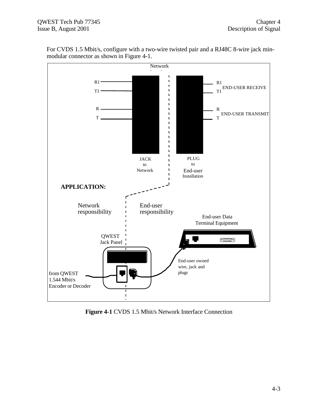

For CVDS 1.5 Mbit/s, configure with a two-wire twisted pair and a RJ48C 8-wire jack minmodular connector as shown in Figure 4-1.

**Figure 4-1** CVDS 1.5 Mbit/s Network Interface Connection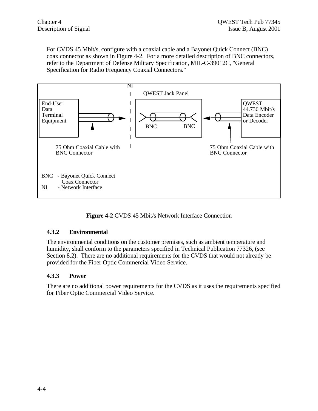For CVDS 45 Mbit/s, configure with a coaxial cable and a Bayonet Quick Connect (BNC) coax connector as shown in Figure 4-2. For a more detailed description of BNC connectors, refer to the Department of Defense Military Specification, MIL-C-39012C, "General Specification for Radio Frequency Coaxial Connectors."



**Figure 4-2** CVDS 45 Mbit/s Network Interface Connection

### **4.3.2 Environmental**

The environmental conditions on the customer premises, such as ambient temperature and humidity, shall conform to the parameters specified in Technical Publication 77326, (see Section 8.2). There are no additional requirements for the CVDS that would not already be provided for the Fiber Optic Commercial Video Service.

### **4.3.3 Power**

There are no additional power requirements for the CVDS as it uses the requirements specified for Fiber Optic Commercial Video Service.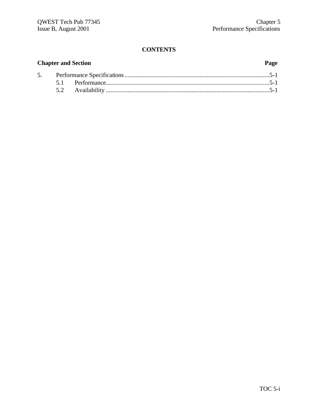|  | <b>Chapter and Section</b> | Page |
|--|----------------------------|------|
|  |                            |      |
|  |                            |      |
|  |                            |      |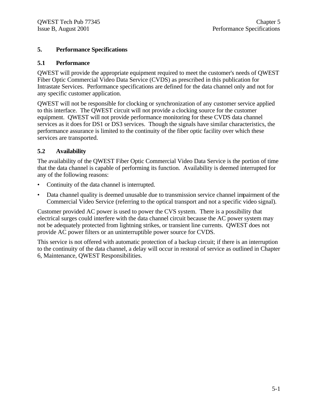### **5. Performance Specifications**

### **5.1 Performance**

QWEST will provide the appropriate equipment required to meet the customer's needs of QWEST Fiber Optic Commercial Video Data Service (CVDS) as prescribed in this publication for Intrastate Services. Performance specifications are defined for the data channel only and not for any specific customer application.

QWEST will not be responsible for clocking or synchronization of any customer service applied to this interface. The QWEST circuit will not provide a clocking source for the customer equipment. QWEST will not provide performance monitoring for these CVDS data channel services as it does for DS1 or DS3 services. Though the signals have similar characteristics, the performance assurance is limited to the continuity of the fiber optic facility over which these services are transported.

### **5.2 Availability**

The availability of the QWEST Fiber Optic Commercial Video Data Service is the portion of time that the data channel is capable of performing its function. Availability is deemed interrupted for any of the following reasons:

- Continuity of the data channel is interrupted.
- Data channel quality is deemed unusable due to transmission service channel impairment of the Commercial Video Service (referring to the optical transport and not a specific video signal).

Customer provided AC power is used to power the CVS system. There is a possibility that electrical surges could interfere with the data channel circuit because the AC power system may not be adequately protected from lightning strikes, or transient line currents. QWEST does not provide AC power filters or an uninterruptible power source for CVDS.

This service is not offered with automatic protection of a backup circuit; if there is an interruption to the continuity of the data channel, a delay will occur in restoral of service as outlined in Chapter 6, Maintenance, QWEST Responsibilities.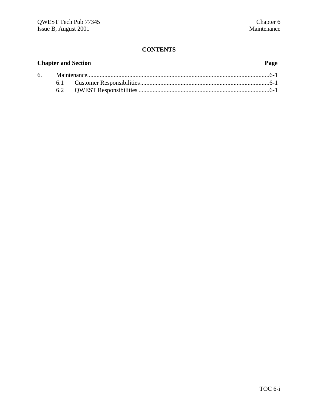| <b>Chapter and Section</b> |  |  |  |  |
|----------------------------|--|--|--|--|
|                            |  |  |  |  |
|                            |  |  |  |  |
|                            |  |  |  |  |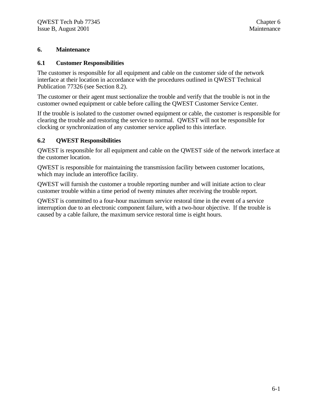### **6. Maintenance**

### **6.1 Customer Responsibilities**

The customer is responsible for all equipment and cable on the customer side of the network interface at their location in accordance with the procedures outlined in QWEST Technical Publication 77326 (see Section 8.2).

The customer or their agent must sectionalize the trouble and verify that the trouble is not in the customer owned equipment or cable before calling the QWEST Customer Service Center.

If the trouble is isolated to the customer owned equipment or cable, the customer is responsible for clearing the trouble and restoring the service to normal. QWEST will not be responsible for clocking or synchronization of any customer service applied to this interface.

### **6.2 QWEST Responsibilities**

QWEST is responsible for all equipment and cable on the QWEST side of the network interface at the customer location.

QWEST is responsible for maintaining the transmission facility between customer locations, which may include an interoffice facility.

QWEST will furnish the customer a trouble reporting number and will initiate action to clear customer trouble within a time period of twenty minutes after receiving the trouble report.

QWEST is committed to a four-hour maximum service restoral time in the event of a service interruption due to an electronic component failure, with a two-hour objective. If the trouble is caused by a cable failure, the maximum service restoral time is eight hours.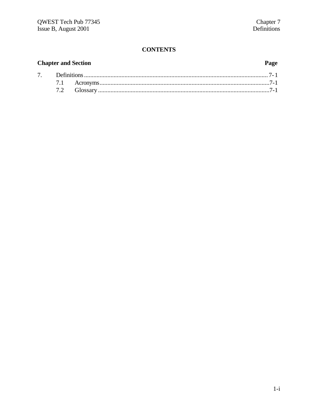#### **Chapter and Section** Page  $7.$  $7.1$  $7.2$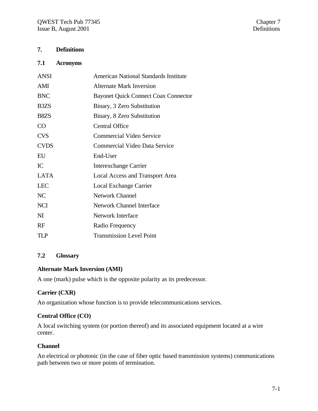### **7. Definitions**

#### **7.1 Acronyms**

| <b>ANSI</b>                   | <b>American National Standards Institute</b> |
|-------------------------------|----------------------------------------------|
| AMI                           | Alternate Mark Inversion                     |
| <b>BNC</b>                    | <b>Bayonet Quick Connect Coax Connector</b>  |
| B <sub>3</sub> Z <sub>S</sub> | Binary, 3 Zero Substitution                  |
| B <sub>8</sub> Z <sub>S</sub> | Binary, 8 Zero Substitution                  |
| CO                            | <b>Central Office</b>                        |
| <b>CVS</b>                    | <b>Commercial Video Service</b>              |
| <b>CVDS</b>                   | Commercial Video Data Service                |
| EU                            | End-User                                     |
| IC                            | <b>Interexchange Carrier</b>                 |
| <b>LATA</b>                   | Local Access and Transport Area              |
| <b>LEC</b>                    | Local Exchange Carrier                       |
| NC                            | <b>Network Channel</b>                       |
| <b>NCI</b>                    | <b>Network Channel Interface</b>             |
| $\mathbf{M}$                  | <b>Network Interface</b>                     |
| RF                            | Radio Frequency                              |
| TLP                           | <b>Transmission Level Point</b>              |

### **7.2 Glossary**

#### **Alternate Mark Inversion (AMI)**

A one (mark) pulse which is the opposite polarity as its predecessor.

#### **Carrier (CXR)**

An organization whose function is to provide telecommunications services.

#### **Central Office (CO)**

A local switching system (or portion thereof) and its associated equipment located at a wire center.

### **Channel**

An electrical or photonic (in the case of fiber optic based transmission systems) communications path between two or more points of termination.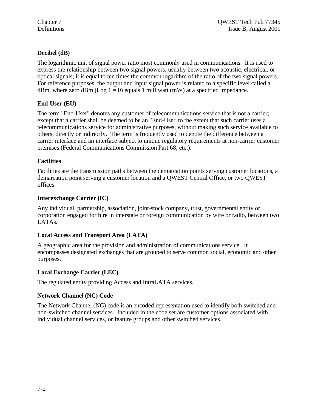### **Decibel (dB)**

The logarithmic unit of signal power ratio most commonly used in communications. It is used to express the relationship between two signal powers, usually between two acoustic, electrical, or optical signals; it is equal to ten times the common logarithm of the ratio of the two signal powers. For reference purposes, the output and input signal power is related to a specific level called a dBm, where zero dBm (Log  $1 = 0$ ) equals 1 milliwatt (mW) at a specified impedance.

### **End-User (EU)**

The term "End-User" denotes any customer of telecommunications service that is not a carrier; except that a carrier shall be deemed to be an "End-User' to the extent that such carrier uses a telecommunications service for administrative purposes, without making such service available to others, directly or indirectly. The term is frequently used to denote the difference between a carrier interface and an interface subject to unique regulatory requirements at non-carrier customer premises (Federal Communications Commission Part 68, etc.).

### **Facilities**

Facilities are the transmission paths between the demarcation points serving customer locations, a demarcation point serving a customer location and a QWEST Central Office, or two QWEST offices.

### **Interexchange Carrier (IC)**

Any individual, partnership, association, joint-stock company, trust, governmental entity or corporation engaged for hire in interstate or foreign communication by wire or radio, between two LATAs.

### **Local Access and Transport Area (LATA)**

A geographic area for the provision and administration of communications service. It encompasses designated exchanges that are grouped to serve common social, economic and other purposes.

### **Local Exchange Carrier (LEC)**

The regulated entity providing Access and IntraLATA services.

### **Network Channel (NC) Code**

The Network Channel (NC) code is an encoded representation used to identify both switched and non-switched channel services. Included in the code set are customer options associated with individual channel services, or feature groups and other switched services.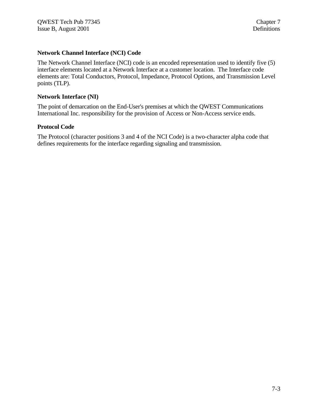### **Network Channel Interface (NCI) Code**

The Network Channel Interface (NCI) code is an encoded representation used to identify five (5) interface elements located at a Network Interface at a customer location. The Interface code elements are: Total Conductors, Protocol, Impedance, Protocol Options, and Transmission Level points (TLP).

#### **Network Interface (NI)**

The point of demarcation on the End-User's premises at which the QWEST Communications International Inc. responsibility for the provision of Access or Non-Access service ends.

#### **Protocol Code**

The Protocol (character positions 3 and 4 of the NCI Code) is a two-character alpha code that defines requirements for the interface regarding signaling and transmission.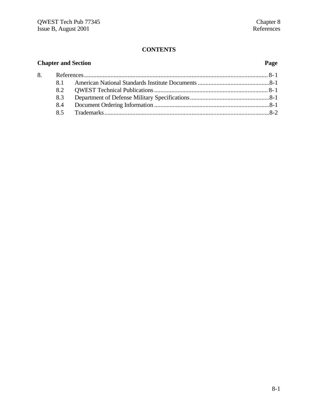| <b>Chapter and Section</b> | Page |  |  |  |
|----------------------------|------|--|--|--|
| 8.                         |      |  |  |  |
|                            | 8.1  |  |  |  |
|                            | 8.2  |  |  |  |
|                            | 8.3  |  |  |  |
|                            | 8.4  |  |  |  |
|                            | 8.5  |  |  |  |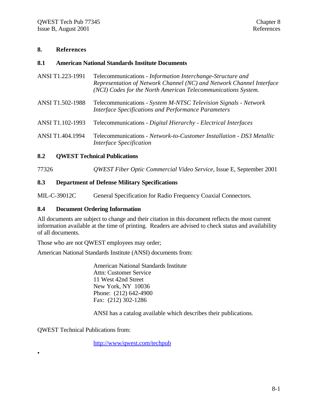### **8. References**

#### **8.1 American National Standards Institute Documents**

- ANSI T1.223-1991 Telecommunications *Information Interchange-Structure and Representation of Network Channel (NC) and Network Channel Interface (NCI) Codes for the North American Telecommunications System.*
- ANSI T1.502-1988 Telecommunications *System M-NTSC Television Signals Network Interface Specifications and Performance Parameters*
- ANSI T1.102-1993 Telecommunications *Digital Hierarchy Electrical Interfaces*
- ANSI T1.404.1994 Telecommunications *Network-to-Customer Installation DS3 Metallic Interface Specification*

#### **8.2 QWEST Technical Publications**

77326 *QWEST Fiber Optic Commercial Video Service*, Issue E, September 2001

#### **8.3 Department of Defense Military Specifications**

MIL-C-39012C General Specification for Radio Frequency Coaxial Connectors.

#### **8.4 Document Ordering Information**

All documents are subject to change and their citation in this document reflects the most current information available at the time of printing. Readers are advised to check status and availability of all documents.

Those who are not QWEST employees may order;

American National Standards Institute (ANSI) documents from:

American National Standards Institute Attn: Customer Service 11 West 42nd Street New York, NY 10036 Phone: (212) 642-4900 Fax: (212) 302-1286

ANSI has a catalog available which describes their publications.

QWEST Technical Publications from:

•

http://www/qwest.com/techpub